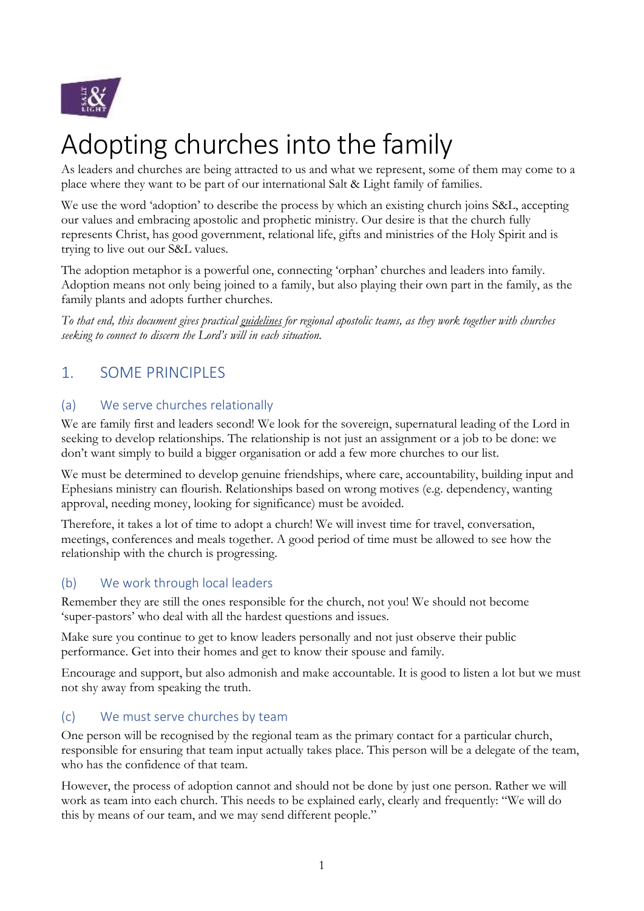

# Adopting churches into the family

As leaders and churches are being attracted to us and what we represent, some of them may come to a place where they want to be part of our international Salt & Light family of families.

We use the word 'adoption' to describe the process by which an existing church joins S&L, accepting our values and embracing apostolic and prophetic ministry. Our desire is that the church fully represents Christ, has good government, relational life, gifts and ministries of the Holy Spirit and is trying to live out our S&L values.

The adoption metaphor is a powerful one, connecting 'orphan' churches and leaders into family. Adoption means not only being joined to a family, but also playing their own part in the family, as the family plants and adopts further churches.

*To that end, this document gives practical guidelines for regional apostolic teams, as they work together with churches seeking to connect to discern the Lord's will in each situation.*

# 1. SOME PRINCIPLES

### (a) We serve churches relationally

We are family first and leaders second! We look for the sovereign, supernatural leading of the Lord in seeking to develop relationships. The relationship is not just an assignment or a job to be done: we don't want simply to build a bigger organisation or add a few more churches to our list.

We must be determined to develop genuine friendships, where care, accountability, building input and Ephesians ministry can flourish. Relationships based on wrong motives (e.g. dependency, wanting approval, needing money, looking for significance) must be avoided.

Therefore, it takes a lot of time to adopt a church! We will invest time for travel, conversation, meetings, conferences and meals together. A good period of time must be allowed to see how the relationship with the church is progressing.

#### (b) We work through local leaders

Remember they are still the ones responsible for the church, not you! We should not become 'super-pastors' who deal with all the hardest questions and issues.

Make sure you continue to get to know leaders personally and not just observe their public performance. Get into their homes and get to know their spouse and family.

Encourage and support, but also admonish and make accountable. It is good to listen a lot but we must not shy away from speaking the truth.

## (c) We must serve churches by team

One person will be recognised by the regional team as the primary contact for a particular church, responsible for ensuring that team input actually takes place. This person will be a delegate of the team, who has the confidence of that team.

However, the process of adoption cannot and should not be done by just one person. Rather we will work as team into each church. This needs to be explained early, clearly and frequently: "We will do this by means of our team, and we may send different people."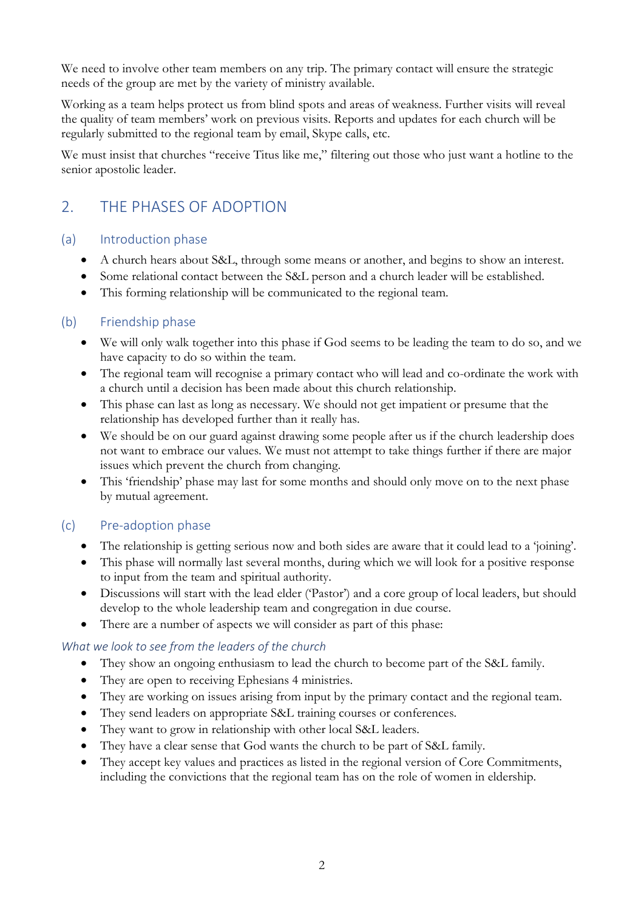We need to involve other team members on any trip. The primary contact will ensure the strategic needs of the group are met by the variety of ministry available.

Working as a team helps protect us from blind spots and areas of weakness. Further visits will reveal the quality of team members' work on previous visits. Reports and updates for each church will be regularly submitted to the regional team by email, Skype calls, etc.

We must insist that churches "receive Titus like me," filtering out those who just want a hotline to the senior apostolic leader.

# 2. THE PHASES OF ADOPTION

#### (a) Introduction phase

- A church hears about S&L, through some means or another, and begins to show an interest.
- Some relational contact between the S&L person and a church leader will be established.
- This forming relationship will be communicated to the regional team.

#### (b) Friendship phase

- We will only walk together into this phase if God seems to be leading the team to do so, and we have capacity to do so within the team.
- The regional team will recognise a primary contact who will lead and co-ordinate the work with a church until a decision has been made about this church relationship.
- This phase can last as long as necessary. We should not get impatient or presume that the relationship has developed further than it really has.
- We should be on our guard against drawing some people after us if the church leadership does not want to embrace our values. We must not attempt to take things further if there are major issues which prevent the church from changing.
- This 'friendship' phase may last for some months and should only move on to the next phase by mutual agreement.

#### (c) Pre-adoption phase

- The relationship is getting serious now and both sides are aware that it could lead to a 'joining'.
- This phase will normally last several months, during which we will look for a positive response to input from the team and spiritual authority.
- Discussions will start with the lead elder ('Pastor') and a core group of local leaders, but should develop to the whole leadership team and congregation in due course.
- There are a number of aspects we will consider as part of this phase:

#### *What we look to see from the leaders of the church*

- They show an ongoing enthusiasm to lead the church to become part of the S&L family.
- They are open to receiving Ephesians 4 ministries.
- They are working on issues arising from input by the primary contact and the regional team.
- They send leaders on appropriate S&L training courses or conferences.
- They want to grow in relationship with other local S&L leaders.
- They have a clear sense that God wants the church to be part of S&L family.
- They accept key values and practices as listed in the regional version of Core Commitments, including the convictions that the regional team has on the role of women in eldership.